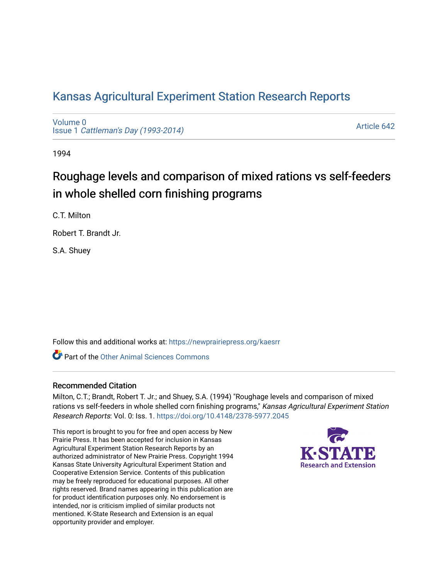## [Kansas Agricultural Experiment Station Research Reports](https://newprairiepress.org/kaesrr)

[Volume 0](https://newprairiepress.org/kaesrr/vol0) Issue 1 [Cattleman's Day \(1993-2014\)](https://newprairiepress.org/kaesrr/vol0/iss1) 

[Article 642](https://newprairiepress.org/kaesrr/vol0/iss1/642) 

1994

# Roughage levels and comparison of mixed rations vs self-feeders in whole shelled corn finishing programs

C.T. Milton

Robert T. Brandt Jr.

S.A. Shuey

Follow this and additional works at: [https://newprairiepress.org/kaesrr](https://newprairiepress.org/kaesrr?utm_source=newprairiepress.org%2Fkaesrr%2Fvol0%2Fiss1%2F642&utm_medium=PDF&utm_campaign=PDFCoverPages) 

**C** Part of the [Other Animal Sciences Commons](http://network.bepress.com/hgg/discipline/82?utm_source=newprairiepress.org%2Fkaesrr%2Fvol0%2Fiss1%2F642&utm_medium=PDF&utm_campaign=PDFCoverPages)

#### Recommended Citation

Milton, C.T.; Brandt, Robert T. Jr.; and Shuey, S.A. (1994) "Roughage levels and comparison of mixed rations vs self-feeders in whole shelled corn finishing programs," Kansas Agricultural Experiment Station Research Reports: Vol. 0: Iss. 1.<https://doi.org/10.4148/2378-5977.2045>

This report is brought to you for free and open access by New Prairie Press. It has been accepted for inclusion in Kansas Agricultural Experiment Station Research Reports by an authorized administrator of New Prairie Press. Copyright 1994 Kansas State University Agricultural Experiment Station and Cooperative Extension Service. Contents of this publication may be freely reproduced for educational purposes. All other rights reserved. Brand names appearing in this publication are for product identification purposes only. No endorsement is intended, nor is criticism implied of similar products not mentioned. K-State Research and Extension is an equal opportunity provider and employer.

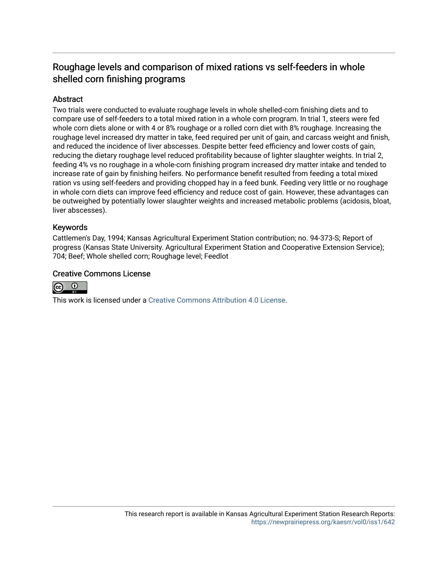### Roughage levels and comparison of mixed rations vs self-feeders in whole shelled corn finishing programs

#### **Abstract**

Two trials were conducted to evaluate roughage levels in whole shelled-corn finishing diets and to compare use of self-feeders to a total mixed ration in a whole corn program. In trial 1, steers were fed whole corn diets alone or with 4 or 8% roughage or a rolled corn diet with 8% roughage. Increasing the roughage level increased dry matter in take, feed required per unit of gain, and carcass weight and finish, and reduced the incidence of liver abscesses. Despite better feed efficiency and lower costs of gain, reducing the dietary roughage level reduced profitability because of lighter slaughter weights. In trial 2, feeding 4% vs no roughage in a whole-corn finishing program increased dry matter intake and tended to increase rate of gain by finishing heifers. No performance benefit resulted from feeding a total mixed ration vs using self-feeders and providing chopped hay in a feed bunk. Feeding very little or no roughage in whole corn diets can improve feed efficiency and reduce cost of gain. However, these advantages can be outweighed by potentially lower slaughter weights and increased metabolic problems (acidosis, bloat, liver abscesses).

#### Keywords

Cattlemen's Day, 1994; Kansas Agricultural Experiment Station contribution; no. 94-373-S; Report of progress (Kansas State University. Agricultural Experiment Station and Cooperative Extension Service); 704; Beef; Whole shelled corn; Roughage level; Feedlot

#### Creative Commons License



This work is licensed under a [Creative Commons Attribution 4.0 License](https://creativecommons.org/licenses/by/4.0/).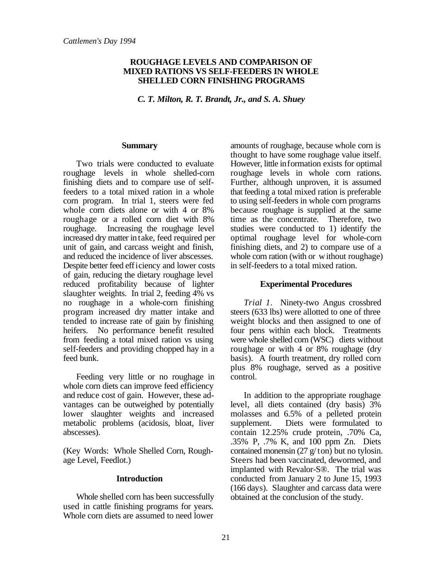#### **ROUGHAGE LEVELS AND COMPARISON OF MIXED RATIONS VS SELF-FEEDERS IN WHOLE SHELLED CORN FINISHING PROGRAMS**

*C. T. Milton, R. T. Brandt, Jr., and S. A. Shuey*

#### **Summary**

Two trials were conducted to evaluate roughage levels in whole shelled-corn finishing diets and to compare use of selffeeders to a total mixed ration in a whole corn program. In trial 1, steers were fed whole corn diets alone or with 4 or 8% roughage or a rolled corn diet with 8% roughage. Increasing the roughage level increased dry matter in take, feed required per unit of gain, and carcass weight and finish, and reduced the incidence of liver abscesses. Despite better feed efficiency and lower costs of gain, reducing the dietary roughage level reduced profitability because of lighter slaughter weights. In trial 2, feeding 4% vs no roughage in a whole-corn finishing program increased dry matter intake and tended to increase rate of gain by finishing heifers. No performance benefit resulted from feeding a total mixed ration vs using self-feeders and providing chopped hay in a feed bunk.

Feeding very little or no roughage in whole corn diets can improve feed efficiency and reduce cost of gain. However, these advantages can be outweighed by potentially lower slaughter weights and increased metabolic problems (acidosis, bloat, liver abscesses).

(Key Words: Whole Shelled Corn, Roughage Level, Feedlot.)

#### **Introduction**

Whole shelled corn has been successfully used in cattle finishing programs for years. Whole corn diets are assumed to need lower

amounts of roughage, because whole corn is thought to have some roughage value itself. However, little information exists for optimal roughage levels in whole corn rations. Further, although unproven, it is assumed that feeding a total mixed ration is preferable to using self-feeders in whole corn programs because roughage is supplied at the same time as the concentrate. Therefore, two studies were conducted to 1) identify the optimal roughage level for whole-corn finishing diets, and 2) to compare use of a whole corn ration (with or without roughage) in self-feeders to a total mixed ration.

#### **Experimental Procedures**

*Trial 1*. Ninety-two Angus crossbred steers (633 lbs) were allotted to one of three weight blocks and then assigned to one of four pens within each block. Treatments were whole shelled corn (WSC) diets without roughage or with 4 or 8% roughage (dry basis). A fourth treatment, dry rolled corn plus 8% roughage, served as a positive control.

In addition to the appropriate roughage level, all diets contained (dry basis) 3% molasses and 6.5% of a pelleted protein supplement. Diets were formulated to contain 12.25% crude protein, .70% Ca, .35% P, .7% K, and 100 ppm Zn. Diets contained monensin  $(27 \text{ g/ton})$  but no tylosin. Steers had been vaccinated, dewormed, and implanted with Revalor-S®. The trial was conducted from January 2 to June 15, 1993 (166 days). Slaughter and carcass data were obtained at the conclusion of the study.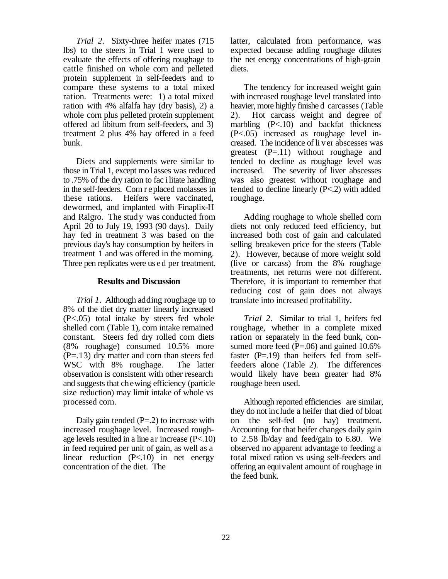*Trial 2*. Sixty-three heifer mates (715 lbs) to the steers in Trial 1 were used to evaluate the effects of offering roughage to cattle finished on whole corn and pelleted protein supplement in self-feeders and to compare these systems to a total mixed ration. Treatments were: 1) a total mixed ration with 4% alfalfa hay (dry basis), 2) a whole corn plus pelleted protein supplement offered ad libitum from self-feeders, and 3) treatment 2 plus 4% hay offered in a feed bunk.

Diets and supplements were similar to those in Trial 1, except mo lasses was reduced to .75% of the dry ration to fac ilitate handling in the self-feeders. Corn r eplaced molasses in these rations. Heifers were vaccinated, dewormed, and implanted with Finaplix-H and Ralgro. The study was conducted from April 20 to July 19, 1993 (90 days). Daily hay fed in treatment 3 was based on the previous day's hay consumption by heifers in treatment 1 and was offered in the morning. Three pen replicates were us ed per treatment.

#### **Results and Discussion**

*Trial 1*. Although adding roughage up to 8% of the diet dry matter linearly increased (P<.05) total intake by steers fed whole shelled corn (Table 1), corn intake remained constant. Steers fed dry rolled corn diets (8% roughage) consumed 10.5% more (P=.13) dry matter and corn than steers fed WSC with 8% roughage. The latter observation is consistent with other research and suggests that chewing efficiency (particle size reduction) may limit intake of whole vs processed corn.

Daily gain tended  $(P=2)$  to increase with increased roughage level. Increased roughage levels resulted in a line ar increase (P<.10) in feed required per unit of gain, as well as a linear reduction (P<.10) in net energy concentration of the diet. The

latter, calculated from performance, was expected because adding roughage dilutes the net energy concentrations of high-grain diets.

The tendency for increased weight gain with increased roughage level translated into heavier, more highly finishe d carcasses (Table 2). Hot carcass weight and degree of marbling  $(P<.10)$  and backfat thickness (P<.05) increased as roughage level increased. The incidence of li ver abscesses was greatest  $(P=.11)$  without roughage and tended to decline as roughage level was increased. The severity of liver abscesses was also greatest without roughage and tended to decline linearly (P<.2) with added roughage.

Adding roughage to whole shelled corn diets not only reduced feed efficiency, but increased both cost of gain and calculated selling breakeven price for the steers (Table 2). However, because of more weight sold (live or carcass) from the 8% roughage treatments, net returns were not different. Therefore, it is important to remember that reducing cost of gain does not always translate into increased profitability.

*Trial 2*. Similar to trial 1, heifers fed roughage, whether in a complete mixed ration or separately in the feed bunk, consumed more feed  $(P=.06)$  and gained 10.6% faster  $(P=.19)$  than heifers fed from selffeeders alone (Table 2). The differences would likely have been greater had 8% roughage been used.

Although reported efficiencies are similar, they do not include a heifer that died of bloat on the self-fed (no hay) treatment. Accounting for that heifer changes daily gain to 2.58 lb/day and feed/gain to 6.80. We observed no apparent advantage to feeding a total mixed ration vs using self-feeders and offering an equivalent amount of roughage in the feed bunk.